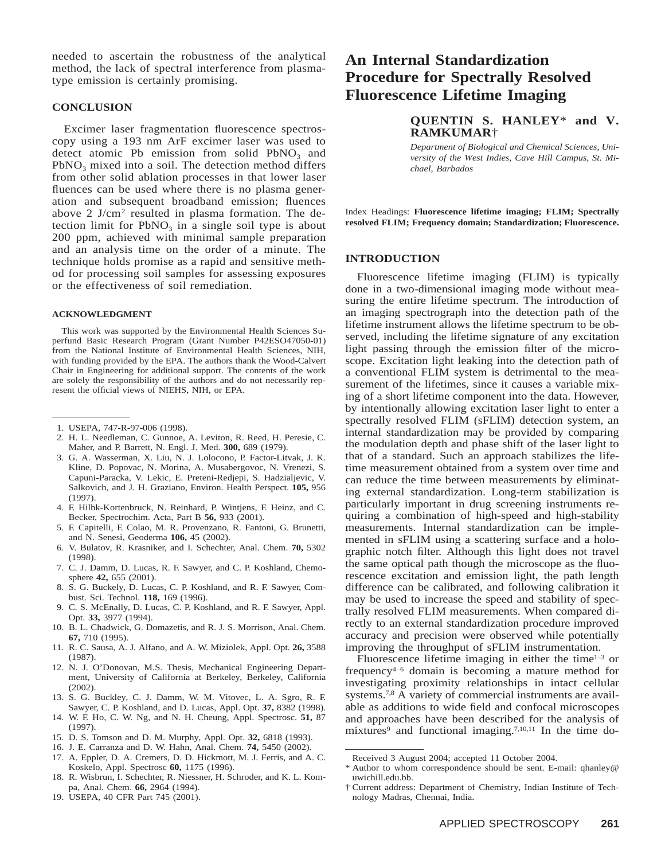needed to ascertain the robustness of the analytical method, the lack of spectral interference from plasmatype emission is certainly promising.

## **CONCLUSION**

Excimer laser fragmentation fluorescence spectroscopy using a 193 nm ArF excimer laser was used to detect atomic Pb emission from solid  $PbNO<sub>3</sub>$  and  $PbNO<sub>3</sub>$  mixed into a soil. The detection method differs from other solid ablation processes in that lower laser fluences can be used where there is no plasma generation and subsequent broadband emission; fluences above 2 J/cm<sup>2</sup> resulted in plasma formation. The detection limit for  $PbNO<sub>3</sub>$  in a single soil type is about 200 ppm, achieved with minimal sample preparation and an analysis time on the order of a minute. The technique holds promise as a rapid and sensitive method for processing soil samples for assessing exposures or the effectiveness of soil remediation.

#### **ACKNOWLEDGMENT**

This work was supported by the Environmental Health Sciences Superfund Basic Research Program (Grant Number P42ESO47050-01) from the National Institute of Environmental Health Sciences, NIH, with funding provided by the EPA. The authors thank the Wood-Calvert Chair in Engineering for additional support. The contents of the work are solely the responsibility of the authors and do not necessarily represent the official views of NIEHS, NIH, or EPA.

- 2. H. L. Needleman, C. Gunnoe, A. Leviton, R. Reed, H. Peresie, C. Maher, and P. Barrett, N. Engl. J. Med. **300,** 689 (1979).
- 3. G. A. Wasserman, X. Liu, N. J. Lolocono, P. Factor-Litvak, J. K. Kline, D. Popovac, N. Morina, A. Musabergovoc, N. Vrenezi, S. Capuni-Paracka, V. Lekic, E. Preteni-Redjepi, S. Hadzialjevic, V. Salkovich, and J. H. Graziano, Environ. Health Perspect. **105,** 956 (1997).
- 4. F. Hilbk-Kortenbruck, N. Reinhard, P. Wintjens, F. Heinz, and C. Becker, Spectrochim. Acta, Part B **56,** 933 (2001).
- 5. F. Capitelli, F. Colao, M. R. Provenzano, R. Fantoni, G. Brunetti, and N. Senesi, Geoderma **106,** 45 (2002).
- 6. V. Bulatov, R. Krasniker, and I. Schechter, Anal. Chem. **70,** 5302 (1998).
- 7. C. J. Damm, D. Lucas, R. F. Sawyer, and C. P. Koshland, Chemosphere **42,** 655 (2001).
- 8. S. G. Buckely, D. Lucas, C. P. Koshland, and R. F. Sawyer, Combust. Sci. Technol. **118,** 169 (1996).
- 9. C. S. McEnally, D. Lucas, C. P. Koshland, and R. F. Sawyer, Appl. Opt. **33,** 3977 (1994).
- 10. B. L. Chadwick, G. Domazetis, and R. J. S. Morrison, Anal. Chem. **67,** 710 (1995).
- 11. R. C. Sausa, A. J. Alfano, and A. W. Miziolek, Appl. Opt. **26,** 3588 (1987).
- 12. N. J. O'Donovan, M.S. Thesis, Mechanical Engineering Department, University of California at Berkeley, Berkeley, California (2002).
- 13. S. G. Buckley, C. J. Damm, W. M. Vitovec, L. A. Sgro, R. F. Sawyer, C. P. Koshland, and D. Lucas, Appl. Opt. **37,** 8382 (1998).
- 14. W. F. Ho, C. W. Ng, and N. H. Cheung, Appl. Spectrosc. **51,** 87 (1997).
- 15. D. S. Tomson and D. M. Murphy, Appl. Opt. **32,** 6818 (1993).
- 16. J. E. Carranza and D. W. Hahn, Anal. Chem. **74,** 5450 (2002).
- 17. A. Eppler, D. A. Cremers, D. D. Hickmott, M. J. Ferris, and A. C. Koskelo, Appl. Spectrosc **60,** 1175 (1996).
- 18. R. Wisbrun, I. Schechter, R. Niessner, H. Schroder, and K. L. Kompa, Anal. Chem. **66,** 2964 (1994).
- 19. USEPA, 40 CFR Part 745 (2001).

# **An Internal Standardization Procedure for Spectrally Resolved Fluorescence Lifetime Imaging**

# **QUENTIN S. HANLEY**\* **and V. RAMKUMAR**†

*Department of Biological and Chemical Sciences, University of the West Indies, Cave Hill Campus, St. Michael, Barbados*

Index Headings: **Fluorescence lifetime imaging; FLIM; Spectrally resolved FLIM; Frequency domain; Standardization; Fluorescence.**

#### **INTRODUCTION**

Fluorescence lifetime imaging (FLIM) is typically done in a two-dimensional imaging mode without measuring the entire lifetime spectrum. The introduction of an imaging spectrograph into the detection path of the lifetime instrument allows the lifetime spectrum to be observed, including the lifetime signature of any excitation light passing through the emission filter of the microscope. Excitation light leaking into the detection path of a conventional FLIM system is detrimental to the measurement of the lifetimes, since it causes a variable mixing of a short lifetime component into the data. However, by intentionally allowing excitation laser light to enter a spectrally resolved FLIM (sFLIM) detection system, an internal standardization may be provided by comparing the modulation depth and phase shift of the laser light to that of a standard. Such an approach stabilizes the lifetime measurement obtained from a system over time and can reduce the time between measurements by eliminating external standardization. Long-term stabilization is particularly important in drug screening instruments requiring a combination of high-speed and high-stability measurements. Internal standardization can be implemented in sFLIM using a scattering surface and a holographic notch filter. Although this light does not travel the same optical path though the microscope as the fluorescence excitation and emission light, the path length difference can be calibrated, and following calibration it may be used to increase the speed and stability of spectrally resolved FLIM measurements. When compared directly to an external standardization procedure improved accuracy and precision were observed while potentially improving the throughput of sFLIM instrumentation.

Fluorescence lifetime imaging in either the time $1-3$  or frequency4–6 domain is becoming a mature method for investigating proximity relationships in intact cellular systems.<sup>7,8</sup> A variety of commercial instruments are available as additions to wide field and confocal microscopes and approaches have been described for the analysis of mixtures<sup>9</sup> and functional imaging.<sup>7,10,11</sup> In the time do-

<sup>1.</sup> USEPA, 747-R-97-006 (1998).

Received 3 August 2004; accepted 11 October 2004.

<sup>\*</sup> Author to whom correspondence should be sent. E-mail: qhanley@ uwichill.edu.bb.

<sup>†</sup> Current address: Department of Chemistry, Indian Institute of Technology Madras, Chennai, India.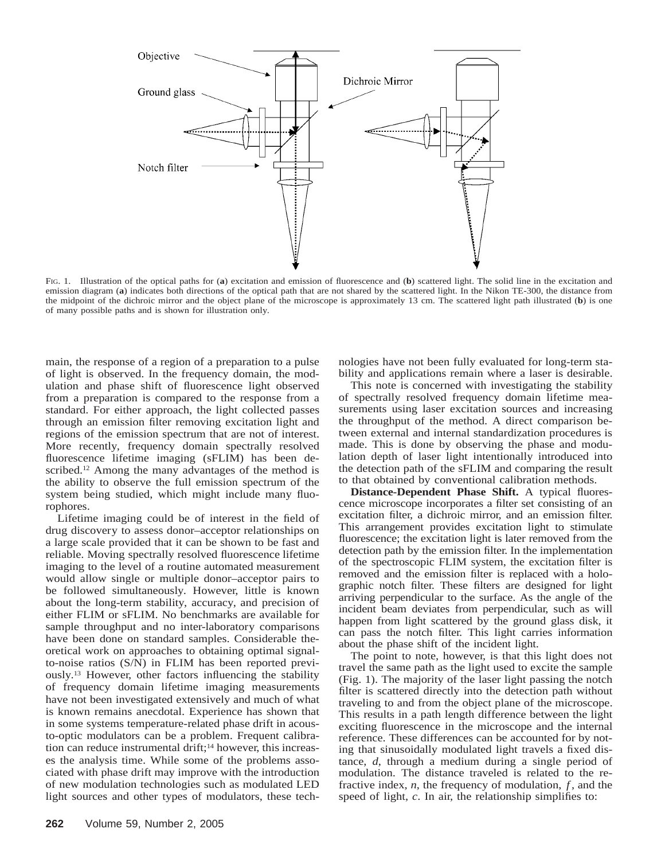

FIG. 1. Illustration of the optical paths for (**a**) excitation and emission of fluorescence and (**b**) scattered light. The solid line in the excitation and emission diagram (**a**) indicates both directions of the optical path that are not shared by the scattered light. In the Nikon TE-300, the distance from the midpoint of the dichroic mirror and the object plane of the microscope is approximately 13 cm. The scattered light path illustrated (**b**) is one of many possible paths and is shown for illustration only.

main, the response of a region of a preparation to a pulse of light is observed. In the frequency domain, the modulation and phase shift of fluorescence light observed from a preparation is compared to the response from a standard. For either approach, the light collected passes through an emission filter removing excitation light and regions of the emission spectrum that are not of interest. More recently, frequency domain spectrally resolved fluorescence lifetime imaging (sFLIM) has been described.<sup>12</sup> Among the many advantages of the method is the ability to observe the full emission spectrum of the system being studied, which might include many fluorophores.

Lifetime imaging could be of interest in the field of drug discovery to assess donor–acceptor relationships on a large scale provided that it can be shown to be fast and reliable. Moving spectrally resolved fluorescence lifetime imaging to the level of a routine automated measurement would allow single or multiple donor–acceptor pairs to be followed simultaneously. However, little is known about the long-term stability, accuracy, and precision of either FLIM or sFLIM. No benchmarks are available for sample throughput and no inter-laboratory comparisons have been done on standard samples. Considerable theoretical work on approaches to obtaining optimal signalto-noise ratios (S/N) in FLIM has been reported previously.<sup>13</sup> However, other factors influencing the stability of frequency domain lifetime imaging measurements have not been investigated extensively and much of what is known remains anecdotal. Experience has shown that in some systems temperature-related phase drift in acousto-optic modulators can be a problem. Frequent calibration can reduce instrumental drift;<sup>14</sup> however, this increases the analysis time. While some of the problems associated with phase drift may improve with the introduction of new modulation technologies such as modulated LED light sources and other types of modulators, these technologies have not been fully evaluated for long-term stability and applications remain where a laser is desirable.

This note is concerned with investigating the stability of spectrally resolved frequency domain lifetime measurements using laser excitation sources and increasing the throughput of the method. A direct comparison between external and internal standardization procedures is made. This is done by observing the phase and modulation depth of laser light intentionally introduced into the detection path of the sFLIM and comparing the result to that obtained by conventional calibration methods.

**Distance-Dependent Phase Shift.** A typical fluorescence microscope incorporates a filter set consisting of an excitation filter, a dichroic mirror, and an emission filter. This arrangement provides excitation light to stimulate fluorescence; the excitation light is later removed from the detection path by the emission filter. In the implementation of the spectroscopic FLIM system, the excitation filter is removed and the emission filter is replaced with a holographic notch filter. These filters are designed for light arriving perpendicular to the surface. As the angle of the incident beam deviates from perpendicular, such as will happen from light scattered by the ground glass disk, it can pass the notch filter. This light carries information about the phase shift of the incident light.

The point to note, however, is that this light does not travel the same path as the light used to excite the sample (Fig. 1). The majority of the laser light passing the notch filter is scattered directly into the detection path without traveling to and from the object plane of the microscope. This results in a path length difference between the light exciting fluorescence in the microscope and the internal reference. These differences can be accounted for by noting that sinusoidally modulated light travels a fixed distance, *d*, through a medium during a single period of modulation. The distance traveled is related to the refractive index, *n*, the frequency of modulation, *f*, and the speed of light, *c*. In air, the relationship simplifies to: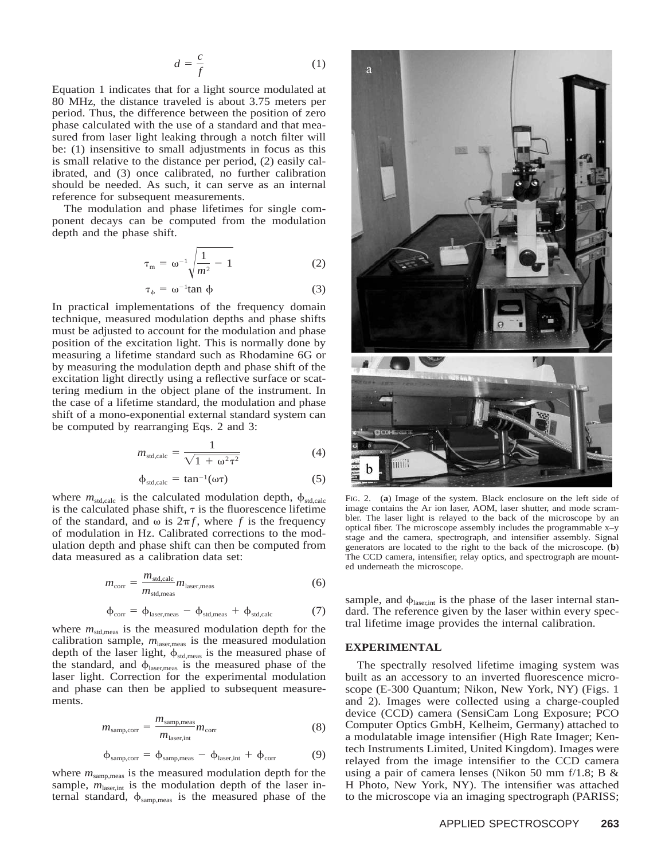$$
d = \frac{c}{f} \tag{1}
$$

Equation 1 indicates that for a light source modulated at 80 MHz, the distance traveled is about 3.75 meters per period. Thus, the difference between the position of zero phase calculated with the use of a standard and that measured from laser light leaking through a notch filter will be: (1) insensitive to small adjustments in focus as this is small relative to the distance per period, (2) easily calibrated, and (3) once calibrated, no further calibration should be needed. As such, it can serve as an internal reference for subsequent measurements.

The modulation and phase lifetimes for single component decays can be computed from the modulation depth and the phase shift.

$$
\tau_{\mathrm{m}} = \omega^{-1} \sqrt{\frac{1}{m^2} - 1} \tag{2}
$$

$$
\tau_{\phi} = \omega^{-1} \tan \phi \tag{3}
$$

In practical implementations of the frequency domain technique, measured modulation depths and phase shifts must be adjusted to account for the modulation and phase position of the excitation light. This is normally done by measuring a lifetime standard such as Rhodamine 6G or by measuring the modulation depth and phase shift of the excitation light directly using a reflective surface or scattering medium in the object plane of the instrument. In the case of a lifetime standard, the modulation and phase shift of a mono-exponential external standard system can be computed by rearranging Eqs. 2 and 3:

$$
m_{\text{std,calc}} = \frac{1}{\sqrt{1 + \omega^2 \tau^2}} \tag{4}
$$

$$
\phi_{\text{std,calc}} = \tan^{-1}(\omega \tau) \tag{5}
$$

where  $m_{\text{std,calc}}$  is the calculated modulation depth,  $\phi_{\text{std,calc}}$ is the calculated phase shift,  $\tau$  is the fluorescence lifetime of the standard, and  $\omega$  is  $2\pi f$ , where f is the frequency of modulation in Hz. Calibrated corrections to the modulation depth and phase shift can then be computed from data measured as a calibration data set:

$$
m_{\text{corr}} = \frac{m_{\text{std,calc}}}{m_{\text{std,meas}}} m_{\text{laser,meas}} \tag{6}
$$

$$
\varphi_{corr} = \varphi_{laser,meas} - \varphi_{std,meas} + \varphi_{std,calc}
$$
 (7)

where  $m_{\text{std,meas}}$  is the measured modulation depth for the calibration sample,  $m_{\text{laser,meas}}$  is the measured modulation depth of the laser light,  $\phi_{\text{std,meas}}$  is the measured phase of the standard, and  $\phi_{\text{laser,meas}}$  is the measured phase of the laser light. Correction for the experimental modulation and phase can then be applied to subsequent measurements.

$$
m_{\text{sample,corr}} = \frac{m_{\text{sampling,meas}}}{m_{\text{laser,int}}} m_{\text{corr}} \tag{8}
$$

$$
\varphi_{\text{samp,corr}} = \varphi_{\text{samp,meas}} - \varphi_{\text{laser,int}} + \varphi_{\text{corr}} \tag{9}
$$

where  $m_{\text{samples}}$  is the measured modulation depth for the sample,  $m_{\text{laser,int}}$  is the modulation depth of the laser internal standard,  $\phi_{\text{samp,meas}}$  is the measured phase of the



FIG. 2. (**a**) Image of the system. Black enclosure on the left side of image contains the Ar ion laser, AOM, laser shutter, and mode scrambler. The laser light is relayed to the back of the microscope by an optical fiber. The microscope assembly includes the programmable x–y stage and the camera, spectrograph, and intensifier assembly. Signal generators are located to the right to the back of the microscope. (**b**) The CCD camera, intensifier, relay optics, and spectrograph are mounted underneath the microscope.

sample, and  $\phi_{\text{laser,int}}$  is the phase of the laser internal standard. The reference given by the laser within every spectral lifetime image provides the internal calibration.

#### **EXPERIMENTAL**

The spectrally resolved lifetime imaging system was built as an accessory to an inverted fluorescence microscope (E-300 Quantum; Nikon, New York, NY) (Figs. 1 and 2). Images were collected using a charge-coupled device (CCD) camera (SensiCam Long Exposure; PCO Computer Optics GmbH, Kelheim, Germany) attached to a modulatable image intensifier (High Rate Imager; Kentech Instruments Limited, United Kingdom). Images were relayed from the image intensifier to the CCD camera using a pair of camera lenses (Nikon 50 mm  $f/1.8$ ; B & H Photo, New York, NY). The intensifier was attached to the microscope via an imaging spectrograph (PARISS;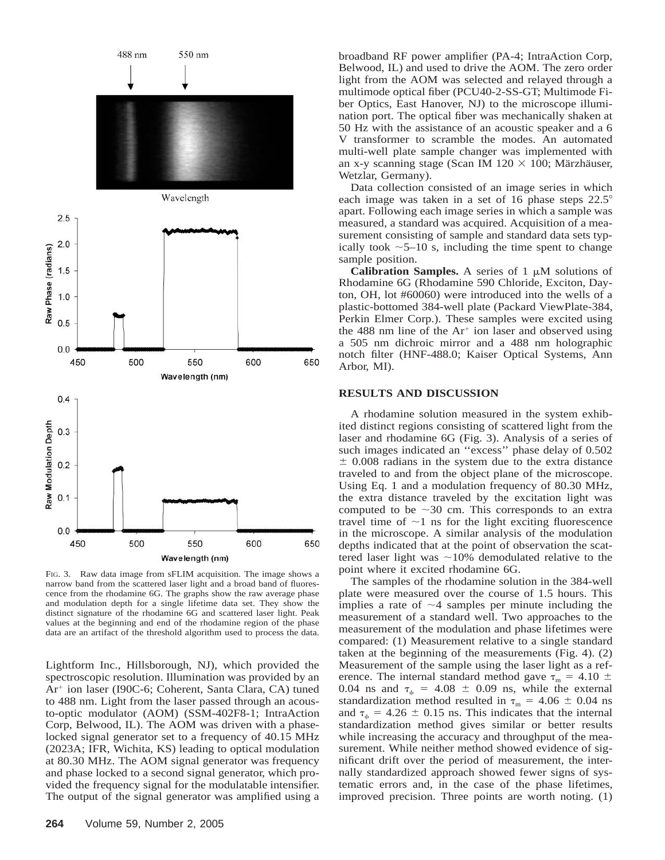![](_page_3_Figure_0.jpeg)

FIG. 3. Raw data image from sFLIM acquisition. The image shows a narrow band from the scattered laser light and a broad band of fluorescence from the rhodamine 6G. The graphs show the raw average phase and modulation depth for a single lifetime data set. They show the distinct signature of the rhodamine 6G and scattered laser light. Peak values at the beginning and end of the rhodamine region of the phase data are an artifact of the threshold algorithm used to process the data.

Lightform Inc., Hillsborough, NJ), which provided the spectroscopic resolution. Illumination was provided by an Ar<sup>+</sup> ion laser (I90C-6; Coherent, Santa Clara, CA) tuned to 488 nm. Light from the laser passed through an acousto-optic modulator (AOM) (SSM-402F8-1; IntraAction Corp, Belwood, IL). The AOM was driven with a phaselocked signal generator set to a frequency of 40.15 MHz (2023A; IFR, Wichita, KS) leading to optical modulation at 80.30 MHz. The AOM signal generator was frequency and phase locked to a second signal generator, which provided the frequency signal for the modulatable intensifier. The output of the signal generator was amplified using a

broadband RF power amplifier (PA-4; IntraAction Corp, Belwood, IL) and used to drive the AOM. The zero order light from the AOM was selected and relayed through a multimode optical fiber (PCU40-2-SS-GT; Multimode Fiber Optics, East Hanover, NJ) to the microscope illumination port. The optical fiber was mechanically shaken at 50 Hz with the assistance of an acoustic speaker and a 6 V transformer to scramble the modes. An automated multi-well plate sample changer was implemented with an x-y scanning stage (Scan IM 120  $\times$  100; Märzhäuser, Wetzlar, Germany).

Data collection consisted of an image series in which each image was taken in a set of 16 phase steps  $22.5^{\circ}$ apart. Following each image series in which a sample was measured, a standard was acquired. Acquisition of a measurement consisting of sample and standard data sets typically took  $\sim$  5–10 s, including the time spent to change sample position.

**Calibration Samples.** A series of 1  $\mu$ M solutions of Rhodamine 6G (Rhodamine 590 Chloride, Exciton, Dayton, OH, lot #60060) were introduced into the wells of a plastic-bottomed 384-well plate (Packard ViewPlate-384, Perkin Elmer Corp.). These samples were excited using the 488 nm line of the  $Ar<sup>+</sup>$  ion laser and observed using a 505 nm dichroic mirror and a 488 nm holographic notch filter (HNF-488.0; Kaiser Optical Systems, Ann Arbor, MI).

### **RESULTS AND DISCUSSION**

A rhodamine solution measured in the system exhibited distinct regions consisting of scattered light from the laser and rhodamine 6G (Fig. 3). Analysis of a series of such images indicated an ''excess'' phase delay of 0.502  $\pm$  0.008 radians in the system due to the extra distance traveled to and from the object plane of the microscope. Using Eq. 1 and a modulation frequency of 80.30 MHz, the extra distance traveled by the excitation light was computed to be  $\sim$ 30 cm. This corresponds to an extra travel time of  $\sim$ 1 ns for the light exciting fluorescence in the microscope. A similar analysis of the modulation depths indicated that at the point of observation the scattered laser light was  $\sim$ 10% demodulated relative to the point where it excited rhodamine 6G.

The samples of the rhodamine solution in the 384-well plate were measured over the course of 1.5 hours. This implies a rate of  $\sim$ 4 samples per minute including the measurement of a standard well. Two approaches to the measurement of the modulation and phase lifetimes were compared: (1) Measurement relative to a single standard taken at the beginning of the measurements (Fig. 4). (2) Measurement of the sample using the laser light as a reference. The internal standard method gave  $\tau_m = 4.10 \pm$ 0.04 ns and  $\tau_{\phi}$  = 4.08  $\pm$  0.09 ns, while the external standardization method resulted in  $\tau_m = 4.06 \pm 0.04$  ns and  $\tau_{\phi} = 4.26 \pm 0.15$  ns. This indicates that the internal standardization method gives similar or better results while increasing the accuracy and throughput of the measurement. While neither method showed evidence of significant drift over the period of measurement, the internally standardized approach showed fewer signs of systematic errors and, in the case of the phase lifetimes, improved precision. Three points are worth noting. (1)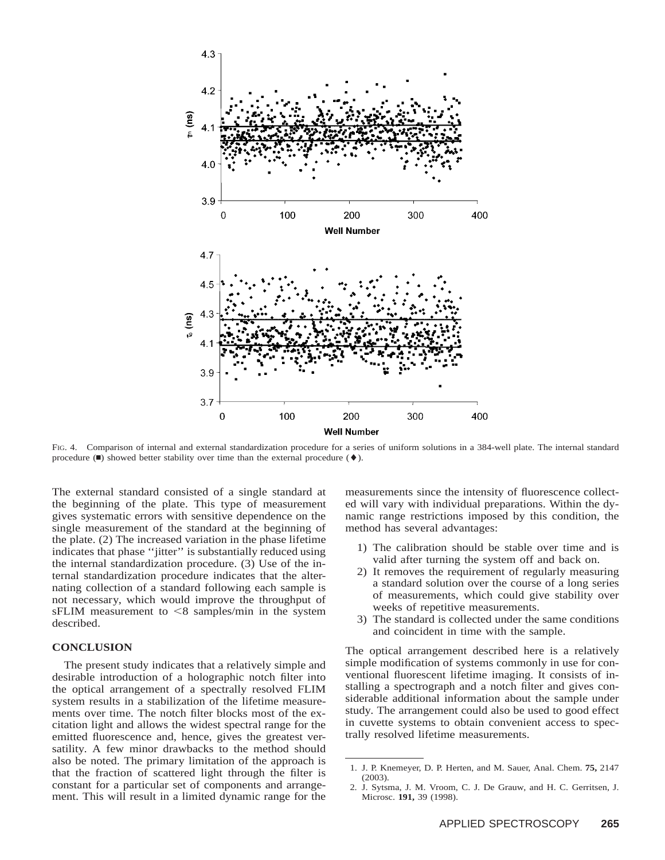![](_page_4_Figure_0.jpeg)

FIG. 4. Comparison of internal and external standardization procedure for a series of uniform solutions in a 384-well plate. The internal standard procedure  $(\blacksquare)$  showed better stability over time than the external procedure  $(\blacklozenge)$ .

The external standard consisted of a single standard at the beginning of the plate. This type of measurement gives systematic errors with sensitive dependence on the single measurement of the standard at the beginning of the plate. (2) The increased variation in the phase lifetime indicates that phase ''jitter'' is substantially reduced using the internal standardization procedure. (3) Use of the internal standardization procedure indicates that the alternating collection of a standard following each sample is not necessary, which would improve the throughput of  $sFLIM$  measurement to  $\leq 8$  samples/min in the system described.

#### **CONCLUSION**

The present study indicates that a relatively simple and desirable introduction of a holographic notch filter into the optical arrangement of a spectrally resolved FLIM system results in a stabilization of the lifetime measurements over time. The notch filter blocks most of the excitation light and allows the widest spectral range for the emitted fluorescence and, hence, gives the greatest versatility. A few minor drawbacks to the method should also be noted. The primary limitation of the approach is that the fraction of scattered light through the filter is constant for a particular set of components and arrangement. This will result in a limited dynamic range for the

measurements since the intensity of fluorescence collected will vary with individual preparations. Within the dynamic range restrictions imposed by this condition, the method has several advantages:

- 1) The calibration should be stable over time and is valid after turning the system off and back on.
- 2) It removes the requirement of regularly measuring a standard solution over the course of a long series of measurements, which could give stability over weeks of repetitive measurements.
- 3) The standard is collected under the same conditions and coincident in time with the sample.

The optical arrangement described here is a relatively simple modification of systems commonly in use for conventional fluorescent lifetime imaging. It consists of installing a spectrograph and a notch filter and gives considerable additional information about the sample under study. The arrangement could also be used to good effect in cuvette systems to obtain convenient access to spectrally resolved lifetime measurements.

<sup>1.</sup> J. P. Knemeyer, D. P. Herten, and M. Sauer, Anal. Chem. **75,** 2147 (2003).

<sup>2.</sup> J. Sytsma, J. M. Vroom, C. J. De Grauw, and H. C. Gerritsen, J. Microsc. **191,** 39 (1998).